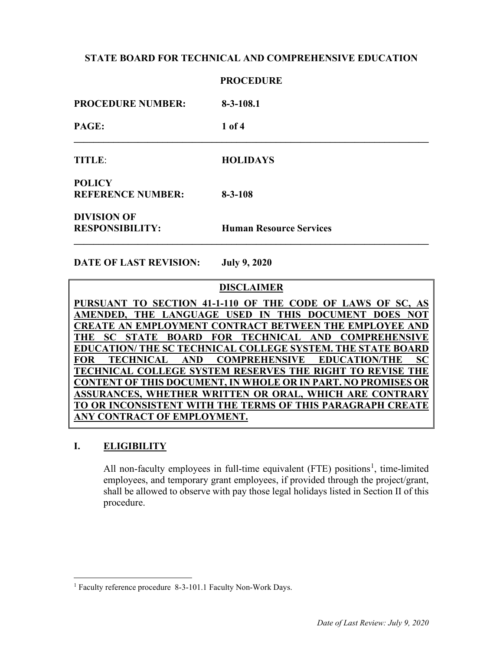|                                              | <b>PROCEDURE</b>               |
|----------------------------------------------|--------------------------------|
| <b>PROCEDURE NUMBER:</b>                     | $8-3-108.1$                    |
| <b>PAGE:</b>                                 | $1$ of 4                       |
| <b>TITLE:</b>                                | <b>HOLIDAYS</b>                |
| <b>POLICY</b><br><b>REFERENCE NUMBER:</b>    | $8 - 3 - 108$                  |
| <b>DIVISION OF</b><br><b>RESPONSIBILITY:</b> | <b>Human Resource Services</b> |

**DATE OF LAST REVISION: July 9, 2020**

## **DISCLAIMER**

**PURSUANT TO SECTION 41-1-110 OF THE CODE OF LAWS OF SC, AS AMENDED, THE LANGUAGE USED IN THIS DOCUMENT DOES NOT CREATE AN EMPLOYMENT CONTRACT BETWEEN THE EMPLOYEE AND THE SC STATE BOARD FOR TECHNICAL AND COMPREHENSIVE EDUCATION/ THE SC TECHNICAL COLLEGE SYSTEM. THE STATE BOARD FOR TECHNICAL AND COMPREHENSIVE EDUCATION/THE SC TECHNICAL COLLEGE SYSTEM RESERVES THE RIGHT TO REVISE THE CONTENT OF THIS DOCUMENT, IN WHOLE OR IN PART. NO PROMISES OR ASSURANCES, WHETHER WRITTEN OR ORAL, WHICH ARE CONTRARY TO OR INCONSISTENT WITH THE TERMS OF THIS PARAGRAPH CREATE ANY CONTRACT OF EMPLOYMENT.**

## **I. ELIGIBILITY**

All non-faculty employees in full-time equivalent (FTE) positions<sup>[1](#page-0-0)</sup>, time-limited employees, and temporary grant employees, if provided through the project/grant, shall be allowed to observe with pay those legal holidays listed in Section II of this procedure.

<span id="page-0-0"></span><sup>&</sup>lt;sup>1</sup> Faculty reference procedure 8-3-101.1 Faculty Non-Work Days.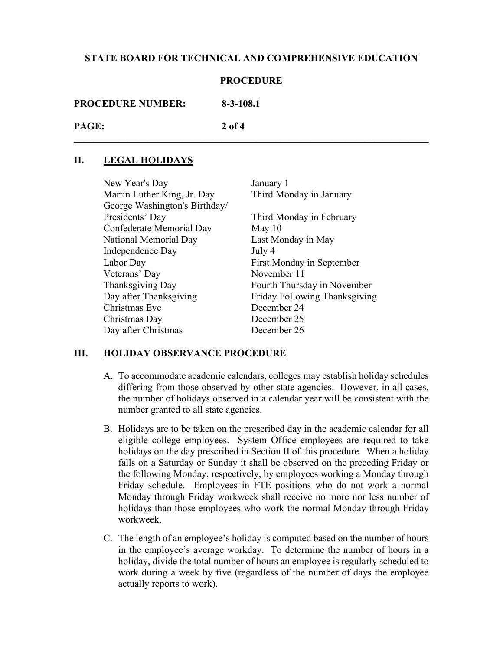#### **PROCEDURE**

**\_\_\_\_\_\_\_\_\_\_\_\_\_\_\_\_\_\_\_\_\_\_\_\_\_\_\_\_\_\_\_\_\_\_\_\_\_\_\_\_\_\_\_\_\_\_\_\_\_\_\_\_\_\_\_\_\_\_\_\_\_\_\_\_\_\_\_\_\_\_\_\_**

| <b>PROCEDURE NUMBER:</b> | $8 - 3 - 108.1$ |
|--------------------------|-----------------|
|                          |                 |

| PAGE: | $2$ of 4 |
|-------|----------|
|       |          |

# **II. LEGAL HOLIDAYS**

| New Year's Day                | January 1                     |
|-------------------------------|-------------------------------|
| Martin Luther King, Jr. Day   | Third Monday in January       |
| George Washington's Birthday/ |                               |
| Presidents' Day               | Third Monday in February      |
| Confederate Memorial Day      | May $10$                      |
| National Memorial Day         | Last Monday in May            |
| Independence Day              | July 4                        |
| Labor Day                     | First Monday in September     |
| Veterans' Day                 | November 11                   |
| Thanksgiving Day              | Fourth Thursday in November   |
| Day after Thanksgiving        | Friday Following Thanksgiving |
| Christmas Eve                 | December 24                   |
| Christmas Day                 | December 25                   |
| Day after Christmas           | December 26                   |

## **III. HOLIDAY OBSERVANCE PROCEDURE**

- A. To accommodate academic calendars, colleges may establish holiday schedules differing from those observed by other state agencies. However, in all cases, the number of holidays observed in a calendar year will be consistent with the number granted to all state agencies.
- B. Holidays are to be taken on the prescribed day in the academic calendar for all eligible college employees. System Office employees are required to take holidays on the day prescribed in Section II of this procedure. When a holiday falls on a Saturday or Sunday it shall be observed on the preceding Friday or the following Monday, respectively, by employees working a Monday through Friday schedule. Employees in FTE positions who do not work a normal Monday through Friday workweek shall receive no more nor less number of holidays than those employees who work the normal Monday through Friday workweek.
- C. The length of an employee's holiday is computed based on the number of hours in the employee's average workday. To determine the number of hours in a holiday, divide the total number of hours an employee is regularly scheduled to work during a week by five (regardless of the number of days the employee actually reports to work).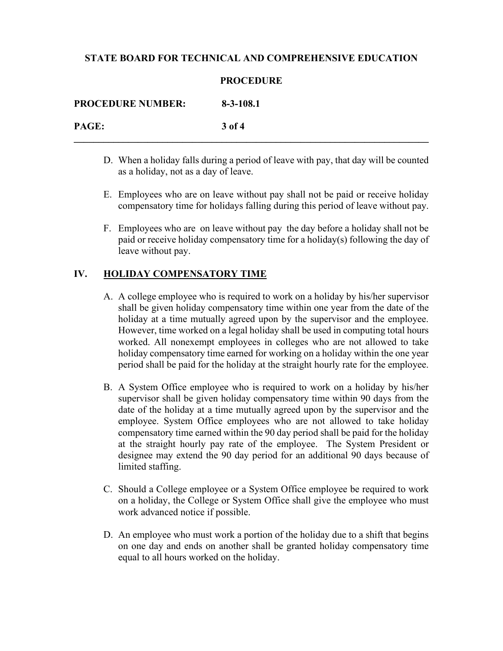#### **PROCEDURE**

| <b>PROCEDURE NUMBER:</b> | $8 - 3 - 108.1$ |
|--------------------------|-----------------|
| PAGE:                    | 3 of 4          |

- D. When a holiday falls during a period of leave with pay, that day will be counted as a holiday, not as a day of leave.
- E. Employees who are on leave without pay shall not be paid or receive holiday compensatory time for holidays falling during this period of leave without pay.
- F. Employees who are on leave without pay the day before a holiday shall not be paid or receive holiday compensatory time for a holiday(s) following the day of leave without pay.

# **IV. HOLIDAY COMPENSATORY TIME**

- A. A college employee who is required to work on a holiday by his/her supervisor shall be given holiday compensatory time within one year from the date of the holiday at a time mutually agreed upon by the supervisor and the employee. However, time worked on a legal holiday shall be used in computing total hours worked. All nonexempt employees in colleges who are not allowed to take holiday compensatory time earned for working on a holiday within the one year period shall be paid for the holiday at the straight hourly rate for the employee.
- B. A System Office employee who is required to work on a holiday by his/her supervisor shall be given holiday compensatory time within 90 days from the date of the holiday at a time mutually agreed upon by the supervisor and the employee. System Office employees who are not allowed to take holiday compensatory time earned within the 90 day period shall be paid for the holiday at the straight hourly pay rate of the employee. The System President or designee may extend the 90 day period for an additional 90 days because of limited staffing.
- C. Should a College employee or a System Office employee be required to work on a holiday, the College or System Office shall give the employee who must work advanced notice if possible.
- D. An employee who must work a portion of the holiday due to a shift that begins on one day and ends on another shall be granted holiday compensatory time equal to all hours worked on the holiday.